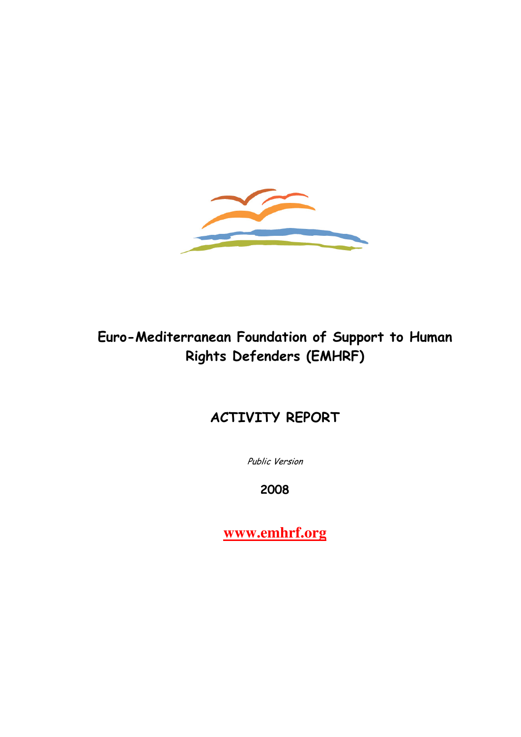

# Euro-Mediterranean Foundation of Support to Human Rights Defenders (EMHRF)

# ACTIVITY REPORT

Public Version

2008

**www.emhrf.org**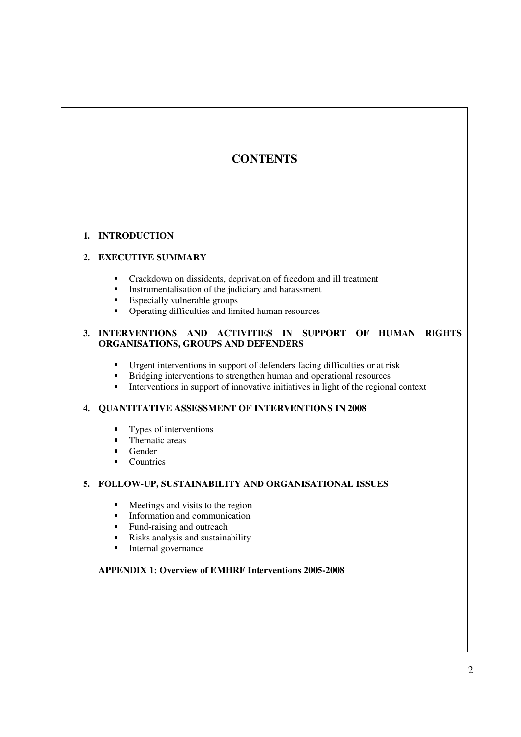# **CONTENTS**

## **1. INTRODUCTION**

# **2. EXECUTIVE SUMMARY**

- Crackdown on dissidents, deprivation of freedom and ill treatment
- **Instrumentalisation of the judiciary and harassment**
- Especially vulnerable groups
- Operating difficulties and limited human resources

#### **3. INTERVENTIONS AND ACTIVITIES IN SUPPORT OF HUMAN RIGHTS ORGANISATIONS, GROUPS AND DEFENDERS**

- Urgent interventions in support of defenders facing difficulties or at risk
- Bridging interventions to strengthen human and operational resources
- Interventions in support of innovative initiatives in light of the regional context

### **4. QUANTITATIVE ASSESSMENT OF INTERVENTIONS IN 2008**

- Types of interventions
- Thematic areas
- Gender
- Countries

#### **5. FOLLOW-UP, SUSTAINABILITY AND ORGANISATIONAL ISSUES**

- Meetings and visits to the region
- **Information and communication**
- Fund-raising and outreach
- Risks analysis and sustainability
- **Internal governance**

## **APPENDIX 1: Overview of EMHRF Interventions 2005-2008**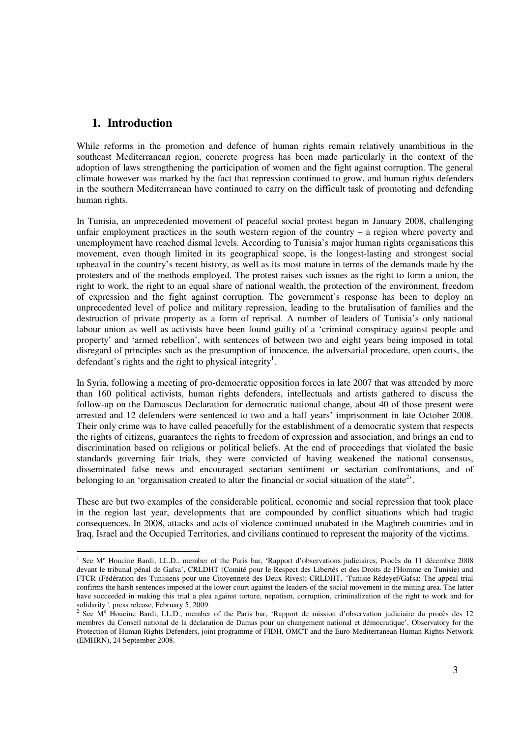# **1. Introduction**

l

While reforms in the promotion and defence of human rights remain relatively unambitious in the southeast Mediterranean region, concrete progress has been made particularly in the context of the adoption of laws strengthening the participation of women and the fight against corruption. The general climate however was marked by the fact that repression continued to grow, and human rights defenders in the southern Mediterranean have continued to carry on the difficult task of promoting and defending human rights.

In Tunisia, an unprecedented movement of peaceful social protest began in January 2008, challenging unfair employment practices in the south western region of the country – a region where poverty and unemployment have reached dismal levels. According to Tunisia's major human rights organisations this movement, even though limited in its geographical scope, is the longest-lasting and strongest social upheaval in the country's recent history, as well as its most mature in terms of the demands made by the protesters and of the methods employed. The protest raises such issues as the right to form a union, the right to work, the right to an equal share of national wealth, the protection of the environment, freedom of expression and the fight against corruption. The government's response has been to deploy an unprecedented level of police and military repression, leading to the brutalisation of families and the destruction of private property as a form of reprisal. A number of leaders of Tunisia's only national labour union as well as activists have been found guilty of a 'criminal conspiracy against people and property' and 'armed rebellion', with sentences of between two and eight years being imposed in total disregard of principles such as the presumption of innocence, the adversarial procedure, open courts, the defendant's rights and the right to physical integrity<sup>1</sup>.

In Syria, following a meeting of pro-democratic opposition forces in late 2007 that was attended by more than 160 political activists, human rights defenders, intellectuals and artists gathered to discuss the follow-up on the Damascus Declaration for democratic national change, about 40 of those present were arrested and 12 defenders were sentenced to two and a half years' imprisonment in late October 2008. Their only crime was to have called peacefully for the establishment of a democratic system that respects the rights of citizens, guarantees the rights to freedom of expression and association, and brings an end to discrimination based on religious or political beliefs. At the end of proceedings that violated the basic standards governing fair trials, they were convicted of having weakened the national consensus, disseminated false news and encouraged sectarian sentiment or sectarian confrontations, and of belonging to an 'organisation created to alter the financial or social situation of the state<sup>2</sup>.

These are but two examples of the considerable political, economic and social repression that took place in the region last year, developments that are compounded by conflict situations which had tragic consequences. In 2008, attacks and acts of violence continued unabated in the Maghreb countries and in Iraq, Israel and the Occupied Territories, and civilians continued to represent the majority of the victims.

<sup>&</sup>lt;sup>1</sup> See M<sup>e</sup> Houcine Bardi, LL.D., member of the Paris bar, 'Rapport d'observations judiciaires, Procès du 11 décembre 2008 devant le tribunal pénal de Gafsa', CRLDHT (Comité pour le Respect des Libertés et des Droits de l'Homme en Tunisie) and FTCR (Fédération des Tunisiens pour une Citoyenneté des Deux Rives); CRLDHT, 'Tunisie-Rédeyef/Gafsa: The appeal trial confirms the harsh sentences imposed at the lower court against the leaders of the social movement in the mining area. The latter have succeeded in making this trial a plea against torture, nepotism, corruption, criminalization of the right to work and for

solidarity ', press release, February 5, 2009.<br><sup>2</sup> See M<sup>e</sup> Houcine Bardi, LL.D., member of the Paris bar, 'Rapport de mission d'observation judiciaire du procès des 12 membres du Conseil national de la déclaration de Damas pour un changement national et démocratique', Observatory for the Protection of Human Rights Defenders, joint programme of FIDH, OMCT and the Euro-Mediterranean Human Rights Network (EMHRN), 24 September 2008.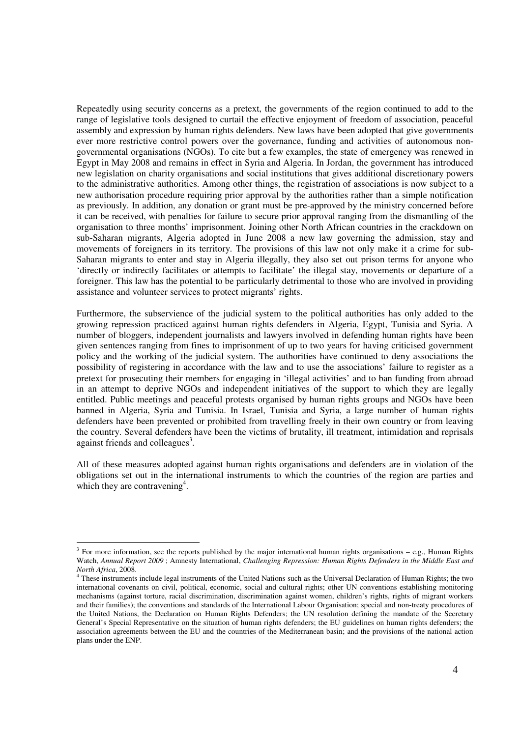Repeatedly using security concerns as a pretext, the governments of the region continued to add to the range of legislative tools designed to curtail the effective enjoyment of freedom of association, peaceful assembly and expression by human rights defenders. New laws have been adopted that give governments ever more restrictive control powers over the governance, funding and activities of autonomous nongovernmental organisations (NGOs). To cite but a few examples, the state of emergency was renewed in Egypt in May 2008 and remains in effect in Syria and Algeria. In Jordan, the government has introduced new legislation on charity organisations and social institutions that gives additional discretionary powers to the administrative authorities. Among other things, the registration of associations is now subject to a new authorisation procedure requiring prior approval by the authorities rather than a simple notification as previously. In addition, any donation or grant must be pre-approved by the ministry concerned before it can be received, with penalties for failure to secure prior approval ranging from the dismantling of the organisation to three months' imprisonment. Joining other North African countries in the crackdown on sub-Saharan migrants, Algeria adopted in June 2008 a new law governing the admission, stay and movements of foreigners in its territory. The provisions of this law not only make it a crime for sub-Saharan migrants to enter and stay in Algeria illegally, they also set out prison terms for anyone who 'directly or indirectly facilitates or attempts to facilitate' the illegal stay, movements or departure of a foreigner. This law has the potential to be particularly detrimental to those who are involved in providing assistance and volunteer services to protect migrants' rights.

Furthermore, the subservience of the judicial system to the political authorities has only added to the growing repression practiced against human rights defenders in Algeria, Egypt, Tunisia and Syria. A number of bloggers, independent journalists and lawyers involved in defending human rights have been given sentences ranging from fines to imprisonment of up to two years for having criticised government policy and the working of the judicial system. The authorities have continued to deny associations the possibility of registering in accordance with the law and to use the associations' failure to register as a pretext for prosecuting their members for engaging in 'illegal activities' and to ban funding from abroad in an attempt to deprive NGOs and independent initiatives of the support to which they are legally entitled. Public meetings and peaceful protests organised by human rights groups and NGOs have been banned in Algeria, Syria and Tunisia. In Israel, Tunisia and Syria, a large number of human rights defenders have been prevented or prohibited from travelling freely in their own country or from leaving the country. Several defenders have been the victims of brutality, ill treatment, intimidation and reprisals against friends and colleagues<sup>3</sup>.

All of these measures adopted against human rights organisations and defenders are in violation of the obligations set out in the international instruments to which the countries of the region are parties and which they are contravening<sup>4</sup>.

l

 $3$  For more information, see the reports published by the major international human rights organisations – e.g., Human Rights Watch, *Annual Report 2009* ; Amnesty International, *Challenging Repression: Human Rights Defenders in the Middle East and North Africa*, 2008.

<sup>&</sup>lt;sup>4</sup> These instruments include legal instruments of the United Nations such as the Universal Declaration of Human Rights; the two international covenants on civil, political, economic, social and cultural rights; other UN conventions establishing monitoring mechanisms (against torture, racial discrimination, discrimination against women, children's rights, rights of migrant workers and their families); the conventions and standards of the International Labour Organisation; special and non-treaty procedures of the United Nations, the Declaration on Human Rights Defenders; the UN resolution defining the mandate of the Secretary General's Special Representative on the situation of human rights defenders; the EU guidelines on human rights defenders; the association agreements between the EU and the countries of the Mediterranean basin; and the provisions of the national action plans under the ENP.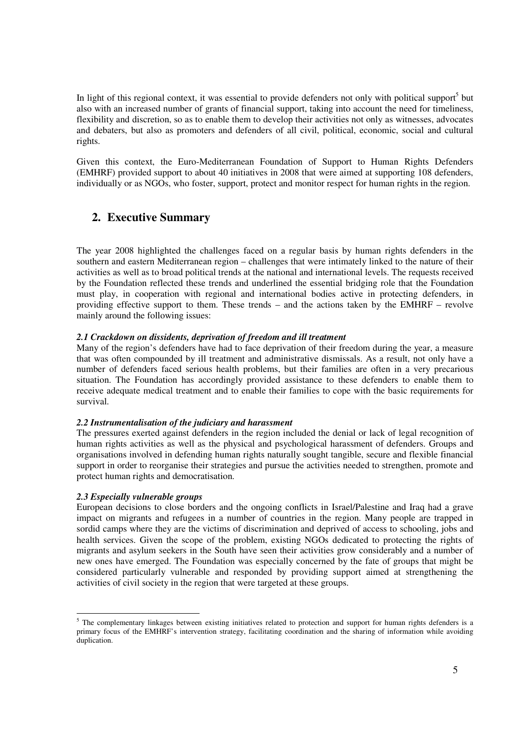In light of this regional context, it was essential to provide defenders not only with political support<sup>5</sup> but also with an increased number of grants of financial support, taking into account the need for timeliness, flexibility and discretion, so as to enable them to develop their activities not only as witnesses, advocates and debaters, but also as promoters and defenders of all civil, political, economic, social and cultural rights.

Given this context, the Euro-Mediterranean Foundation of Support to Human Rights Defenders (EMHRF) provided support to about 40 initiatives in 2008 that were aimed at supporting 108 defenders, individually or as NGOs, who foster, support, protect and monitor respect for human rights in the region.

# **2. Executive Summary**

The year 2008 highlighted the challenges faced on a regular basis by human rights defenders in the southern and eastern Mediterranean region – challenges that were intimately linked to the nature of their activities as well as to broad political trends at the national and international levels. The requests received by the Foundation reflected these trends and underlined the essential bridging role that the Foundation must play, in cooperation with regional and international bodies active in protecting defenders, in providing effective support to them. These trends – and the actions taken by the EMHRF – revolve mainly around the following issues:

#### *2.1 Crackdown on dissidents, deprivation of freedom and ill treatment*

Many of the region's defenders have had to face deprivation of their freedom during the year, a measure that was often compounded by ill treatment and administrative dismissals. As a result, not only have a number of defenders faced serious health problems, but their families are often in a very precarious situation. The Foundation has accordingly provided assistance to these defenders to enable them to receive adequate medical treatment and to enable their families to cope with the basic requirements for survival.

#### *2.2 Instrumentalisation of the judiciary and harassment*

The pressures exerted against defenders in the region included the denial or lack of legal recognition of human rights activities as well as the physical and psychological harassment of defenders. Groups and organisations involved in defending human rights naturally sought tangible, secure and flexible financial support in order to reorganise their strategies and pursue the activities needed to strengthen, promote and protect human rights and democratisation.

#### *2.3 Especially vulnerable groups*

European decisions to close borders and the ongoing conflicts in Israel/Palestine and Iraq had a grave impact on migrants and refugees in a number of countries in the region. Many people are trapped in sordid camps where they are the victims of discrimination and deprived of access to schooling, jobs and health services. Given the scope of the problem, existing NGOs dedicated to protecting the rights of migrants and asylum seekers in the South have seen their activities grow considerably and a number of new ones have emerged. The Foundation was especially concerned by the fate of groups that might be considered particularly vulnerable and responded by providing support aimed at strengthening the activities of civil society in the region that were targeted at these groups.

<sup>&</sup>lt;sup>5</sup> The complementary linkages between existing initiatives related to protection and support for human rights defenders is a primary focus of the EMHRF's intervention strategy, facilitating coordination and the sharing of information while avoiding duplication.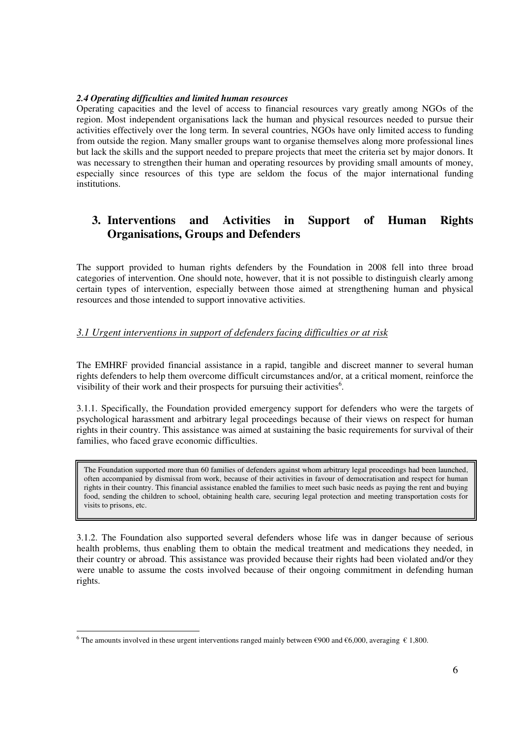#### *2.4 Operating difficulties and limited human resources*

Operating capacities and the level of access to financial resources vary greatly among NGOs of the region. Most independent organisations lack the human and physical resources needed to pursue their activities effectively over the long term. In several countries, NGOs have only limited access to funding from outside the region. Many smaller groups want to organise themselves along more professional lines but lack the skills and the support needed to prepare projects that meet the criteria set by major donors. It was necessary to strengthen their human and operating resources by providing small amounts of money, especially since resources of this type are seldom the focus of the major international funding institutions.

# **3. Interventions and Activities in Support of Human Rights Organisations, Groups and Defenders**

The support provided to human rights defenders by the Foundation in 2008 fell into three broad categories of intervention. One should note, however, that it is not possible to distinguish clearly among certain types of intervention, especially between those aimed at strengthening human and physical resources and those intended to support innovative activities.

## *3.1 Urgent interventions in support of defenders facing difficulties or at risk*

The EMHRF provided financial assistance in a rapid, tangible and discreet manner to several human rights defenders to help them overcome difficult circumstances and/or, at a critical moment, reinforce the visibility of their work and their prospects for pursuing their activities<sup>6</sup>.

3.1.1. Specifically, the Foundation provided emergency support for defenders who were the targets of psychological harassment and arbitrary legal proceedings because of their views on respect for human rights in their country. This assistance was aimed at sustaining the basic requirements for survival of their families, who faced grave economic difficulties.

The Foundation supported more than 60 families of defenders against whom arbitrary legal proceedings had been launched, often accompanied by dismissal from work, because of their activities in favour of democratisation and respect for human rights in their country. This financial assistance enabled the families to meet such basic needs as paying the rent and buying food, sending the children to school, obtaining health care, securing legal protection and meeting transportation costs for visits to prisons, etc.

3.1.2. The Foundation also supported several defenders whose life was in danger because of serious health problems, thus enabling them to obtain the medical treatment and medications they needed, in their country or abroad. This assistance was provided because their rights had been violated and/or they were unable to assume the costs involved because of their ongoing commitment in defending human rights.

l

<sup>&</sup>lt;sup>6</sup> The amounts involved in these urgent interventions ranged mainly between €900 and €6,000, averaging € 1,800.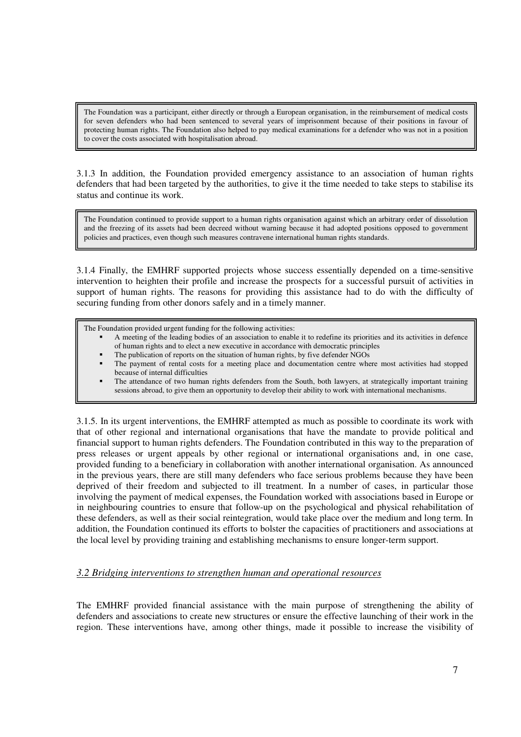The Foundation was a participant, either directly or through a European organisation, in the reimbursement of medical costs for seven defenders who had been sentenced to several years of imprisonment because of their positions in favour of protecting human rights. The Foundation also helped to pay medical examinations for a defender who was not in a position to cover the costs associated with hospitalisation abroad.

3.1.3 In addition, the Foundation provided emergency assistance to an association of human rights defenders that had been targeted by the authorities, to give it the time needed to take steps to stabilise its status and continue its work.

The Foundation continued to provide support to a human rights organisation against which an arbitrary order of dissolution and the freezing of its assets had been decreed without warning because it had adopted positions opposed to government policies and practices, even though such measures contravene international human rights standards.

3.1.4 Finally, the EMHRF supported projects whose success essentially depended on a time-sensitive intervention to heighten their profile and increase the prospects for a successful pursuit of activities in support of human rights. The reasons for providing this assistance had to do with the difficulty of securing funding from other donors safely and in a timely manner.

The Foundation provided urgent funding for the following activities:

- A meeting of the leading bodies of an association to enable it to redefine its priorities and its activities in defence of human rights and to elect a new executive in accordance with democratic principles
- The publication of reports on the situation of human rights, by five defender NGOs
- The payment of rental costs for a meeting place and documentation centre where most activities had stopped because of internal difficulties
- The attendance of two human rights defenders from the South, both lawyers, at strategically important training sessions abroad, to give them an opportunity to develop their ability to work with international mechanisms.

3.1.5. In its urgent interventions, the EMHRF attempted as much as possible to coordinate its work with that of other regional and international organisations that have the mandate to provide political and financial support to human rights defenders. The Foundation contributed in this way to the preparation of press releases or urgent appeals by other regional or international organisations and, in one case, provided funding to a beneficiary in collaboration with another international organisation. As announced in the previous years, there are still many defenders who face serious problems because they have been deprived of their freedom and subjected to ill treatment. In a number of cases, in particular those involving the payment of medical expenses, the Foundation worked with associations based in Europe or in neighbouring countries to ensure that follow-up on the psychological and physical rehabilitation of these defenders, as well as their social reintegration, would take place over the medium and long term. In addition, the Foundation continued its efforts to bolster the capacities of practitioners and associations at the local level by providing training and establishing mechanisms to ensure longer-term support.

#### *3.2 Bridging interventions to strengthen human and operational resources*

The EMHRF provided financial assistance with the main purpose of strengthening the ability of defenders and associations to create new structures or ensure the effective launching of their work in the region. These interventions have, among other things, made it possible to increase the visibility of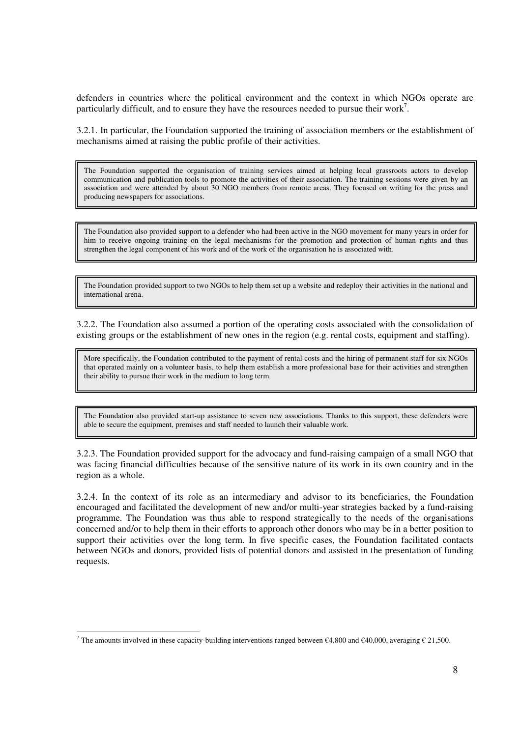defenders in countries where the political environment and the context in which NGOs operate are particularly difficult, and to ensure they have the resources needed to pursue their work<sup>7</sup>.

3.2.1. In particular, the Foundation supported the training of association members or the establishment of mechanisms aimed at raising the public profile of their activities.

The Foundation supported the organisation of training services aimed at helping local grassroots actors to develop communication and publication tools to promote the activities of their association. The training sessions were given by an association and were attended by about 30 NGO members from remote areas. They focused on writing for the press and producing newspapers for associations.

The Foundation also provided support to a defender who had been active in the NGO movement for many years in order for him to receive ongoing training on the legal mechanisms for the promotion and protection of human rights and thus strengthen the legal component of his work and of the work of the organisation he is associated with.

The Foundation provided support to two NGOs to help them set up a website and redeploy their activities in the national and international arena.

3.2.2. The Foundation also assumed a portion of the operating costs associated with the consolidation of existing groups or the establishment of new ones in the region (e.g. rental costs, equipment and staffing).

More specifically, the Foundation contributed to the payment of rental costs and the hiring of permanent staff for six NGOs that operated mainly on a volunteer basis, to help them establish a more professional base for their activities and strengthen their ability to pursue their work in the medium to long term.

The Foundation also provided start-up assistance to seven new associations. Thanks to this support, these defenders were able to secure the equipment, premises and staff needed to launch their valuable work.

3.2.3. The Foundation provided support for the advocacy and fund-raising campaign of a small NGO that was facing financial difficulties because of the sensitive nature of its work in its own country and in the region as a whole.

3.2.4. In the context of its role as an intermediary and advisor to its beneficiaries, the Foundation encouraged and facilitated the development of new and/or multi-year strategies backed by a fund-raising programme. The Foundation was thus able to respond strategically to the needs of the organisations concerned and/or to help them in their efforts to approach other donors who may be in a better position to support their activities over the long term. In five specific cases, the Foundation facilitated contacts between NGOs and donors, provided lists of potential donors and assisted in the presentation of funding requests.

l

<sup>&</sup>lt;sup>7</sup> The amounts involved in these capacity-building interventions ranged between €4,800 and €40,000, averaging € 21,500.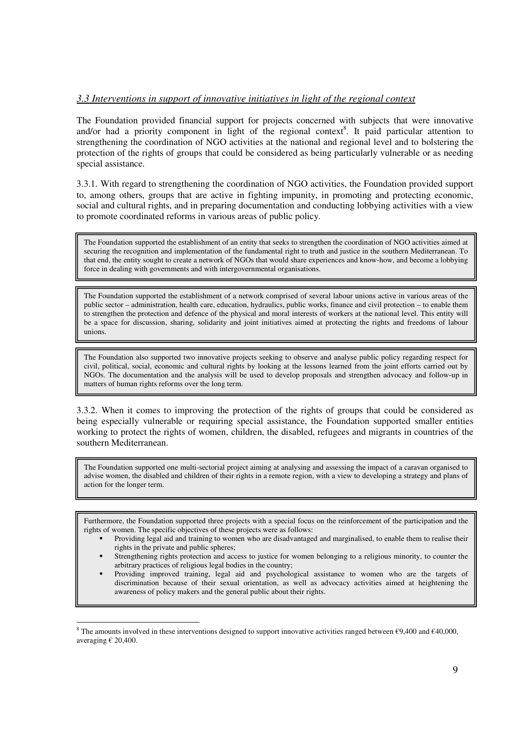#### *3.3 Interventions in support of innovative initiatives in light of the regional context*

The Foundation provided financial support for projects concerned with subjects that were innovative and/or had a priority component in light of the regional context<sup>8</sup>. It paid particular attention to strengthening the coordination of NGO activities at the national and regional level and to bolstering the protection of the rights of groups that could be considered as being particularly vulnerable or as needing special assistance.

3.3.1. With regard to strengthening the coordination of NGO activities, the Foundation provided support to, among others, groups that are active in fighting impunity, in promoting and protecting economic, social and cultural rights, and in preparing documentation and conducting lobbying activities with a view to promote coordinated reforms in various areas of public policy.

The Foundation supported the establishment of an entity that seeks to strengthen the coordination of NGO activities aimed at securing the recognition and implementation of the fundamental right to truth and justice in the southern Mediterranean. To that end, the entity sought to create a network of NGOs that would share experiences and know-how, and become a lobbying force in dealing with governments and with intergovernmental organisations.

The Foundation supported the establishment of a network comprised of several labour unions active in various areas of the public sector – administration, health care, education, hydraulics, public works, finance and civil protection – to enable them to strengthen the protection and defence of the physical and moral interests of workers at the national level. This entity will be a space for discussion, sharing, solidarity and joint initiatives aimed at protecting the rights and freedoms of labour unions.

The Foundation also supported two innovative projects seeking to observe and analyse public policy regarding respect for civil, political, social, economic and cultural rights by looking at the lessons learned from the joint efforts carried out by NGOs. The documentation and the analysis will be used to develop proposals and strengthen advocacy and follow-up in matters of human rights reforms over the long term.

3.3.2. When it comes to improving the protection of the rights of groups that could be considered as being especially vulnerable or requiring special assistance, the Foundation supported smaller entities working to protect the rights of women, children, the disabled, refugees and migrants in countries of the southern Mediterranean.

The Foundation supported one multi-sectorial project aiming at analysing and assessing the impact of a caravan organised to advise women, the disabled and children of their rights in a remote region, with a view to developing a strategy and plans of action for the longer term.

Furthermore, the Foundation supported three projects with a special focus on the reinforcement of the participation and the rights of women. The specific objectives of these projects were as follows:

- Providing legal aid and training to women who are disadvantaged and marginalised, to enable them to realise their rights in the private and public spheres;
- Strengthening rights protection and access to justice for women belonging to a religious minority, to counter the arbitrary practices of religious legal bodies in the country;
- Providing improved training, legal aid and psychological assistance to women who are the targets of discrimination because of their sexual orientation, as well as advocacy activities aimed at heightening the awareness of policy makers and the general public about their rights.

l <sup>8</sup> The amounts involved in these interventions designed to support innovative activities ranged between  $\epsilon$ 9,400 and  $\epsilon$ 40,000, averaging  $\epsilon$  20,400.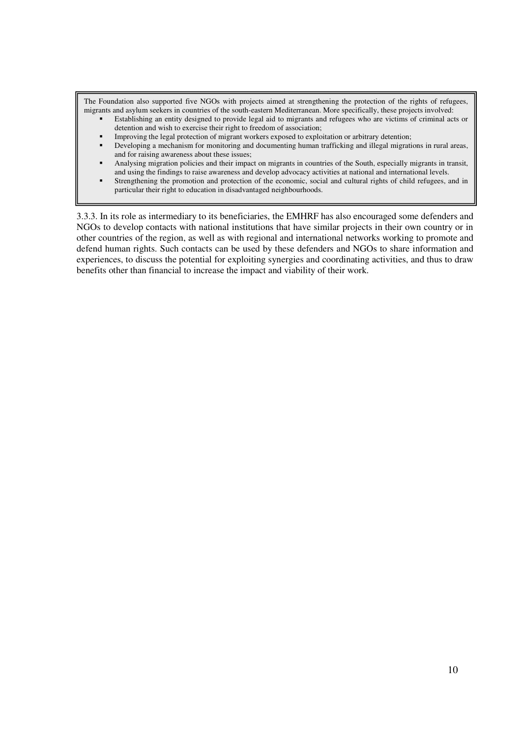The Foundation also supported five NGOs with projects aimed at strengthening the protection of the rights of refugees, migrants and asylum seekers in countries of the south-eastern Mediterranean. More specifically, these projects involved:

- Establishing an entity designed to provide legal aid to migrants and refugees who are victims of criminal acts or detention and wish to exercise their right to freedom of association;
- Improving the legal protection of migrant workers exposed to exploitation or arbitrary detention;
- Developing a mechanism for monitoring and documenting human trafficking and illegal migrations in rural areas, and for raising awareness about these issues;
- Analysing migration policies and their impact on migrants in countries of the South, especially migrants in transit, and using the findings to raise awareness and develop advocacy activities at national and international levels.
- Strengthening the promotion and protection of the economic, social and cultural rights of child refugees, and in particular their right to education in disadvantaged neighbourhoods.

3.3.3. In its role as intermediary to its beneficiaries, the EMHRF has also encouraged some defenders and NGOs to develop contacts with national institutions that have similar projects in their own country or in other countries of the region, as well as with regional and international networks working to promote and defend human rights. Such contacts can be used by these defenders and NGOs to share information and experiences, to discuss the potential for exploiting synergies and coordinating activities, and thus to draw benefits other than financial to increase the impact and viability of their work.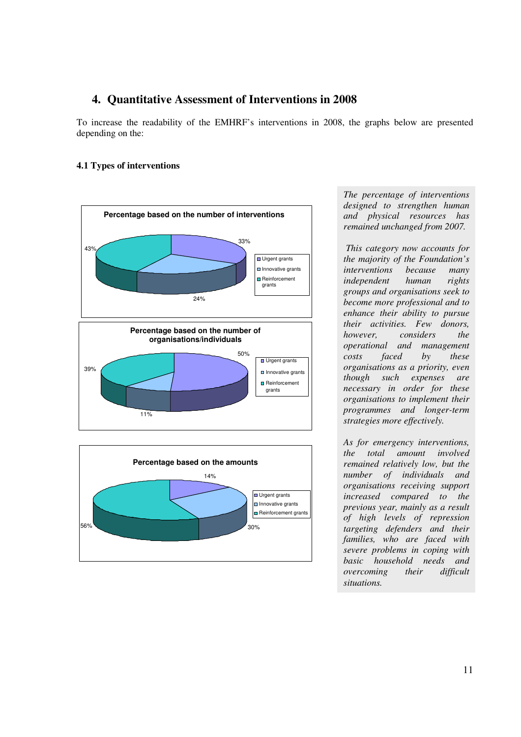# **4. Quantitative Assessment of Interventions in 2008**

To increase the readability of the EMHRF's interventions in 2008, the graphs below are presented depending on the:

## **4.1 Types of interventions**



*The percentage of interventions designed to strengthen human and physical resources has remained unchanged from 2007.* 

 *This category now accounts for the majority of the Foundation's interventions because many independent human rights groups and organisations seek to become more professional and to enhance their ability to pursue their activities. Few donors, however, considers the operational and management costs faced by these organisations as a priority, even though such expenses are necessary in order for these organisations to implement their programmes and longer-term strategies more effectively.* 

*As for emergency interventions, the total amount involved remained relatively low, but the number of individuals and organisations receiving support increased compared to the previous year, mainly as a result of high levels of repression targeting defenders and their families, who are faced with severe problems in coping with basic household needs and overcoming their difficult situations.*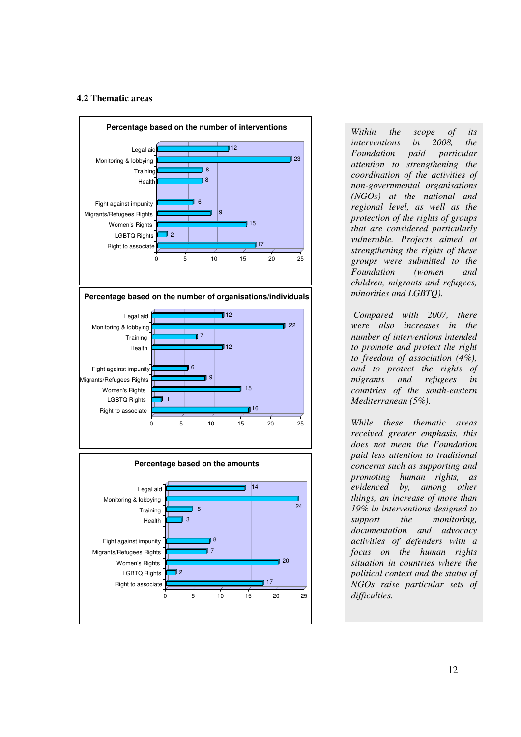#### **4.2 Thematic areas**



*interventions in 2008, the Foundation paid particular attention to strengthening the coordination of the activities of non-governmental organisations (NGOs) at the national and regional level, as well as the protection of the rights of groups that are considered particularly vulnerable. Projects aimed at strengthening the rights of these groups were submitted to the Foundation (women and children, migrants and refugees, minorities and LGBTQ).* 

 *Compared with 2007, there were also increases in the number of interventions intended to promote and protect the right to freedom of association (4%), and to protect the rights of migrants and refugees in countries of the south-eastern Mediterranean (5%).* 

*While these thematic areas received greater emphasis, this does not mean the Foundation paid less attention to traditional concerns such as supporting and promoting human rights, as evidenced by, among other things, an increase of more than 19% in interventions designed to support the monitoring, documentation and advocacy activities of defenders with a focus on the human rights situation in countries where the political context and the status of NGOs raise particular sets of difficulties.*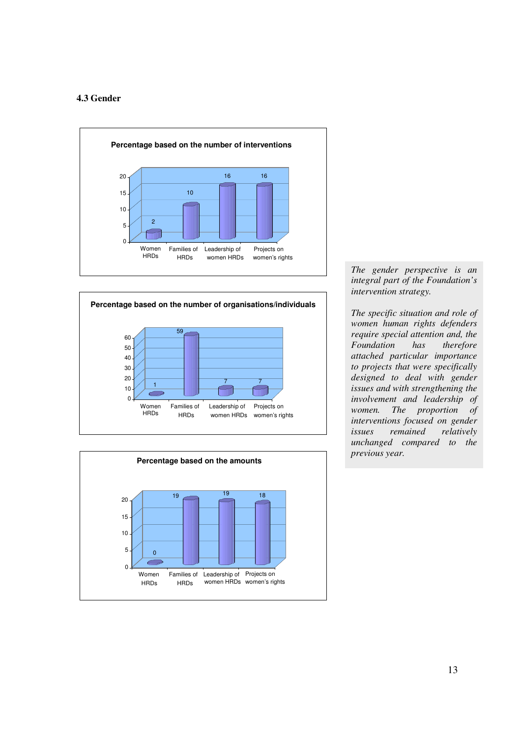#### **4.3 Gender**







*The gender perspective is an integral part of the Foundation's intervention strategy.* 

*The specific situation and role of women human rights defenders require special attention and, the Foundation has therefore attached particular importance to projects that were specifically designed to deal with gender issues and with strengthening the involvement and leadership of women. The proportion of interventions focused on gender issues remained relatively unchanged compared to the previous year.*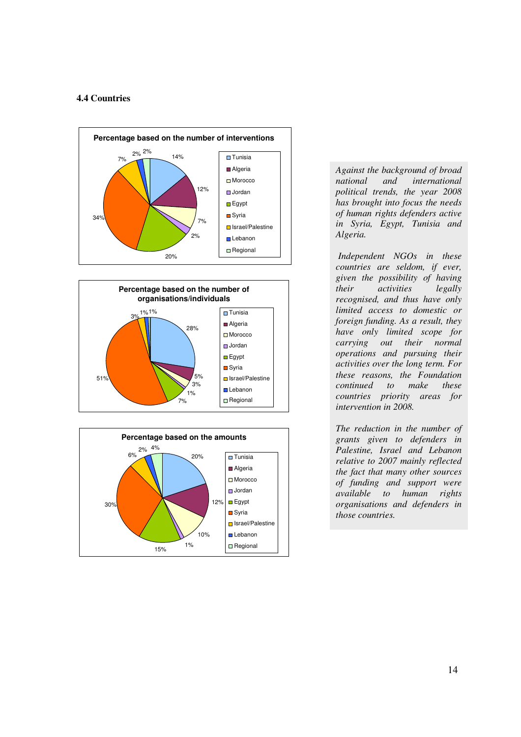#### **4.4 Countries**







*Against the background of broad national and international political trends, the year 2008 has brought into focus the needs of human rights defenders active in Syria, Egypt, Tunisia and Algeria.* 

 *Independent NGOs in these countries are seldom, if ever, given the possibility of having their activities legally recognised, and thus have only limited access to domestic or foreign funding. As a result, they have only limited scope for carrying out their normal operations and pursuing their activities over the long term. For these reasons, the Foundation continued to make these countries priority areas for intervention in 2008.* 

*The reduction in the number of grants given to defenders in Palestine, Israel and Lebanon relative to 2007 mainly reflected the fact that many other sources of funding and support were available to human rights organisations and defenders in those countries.*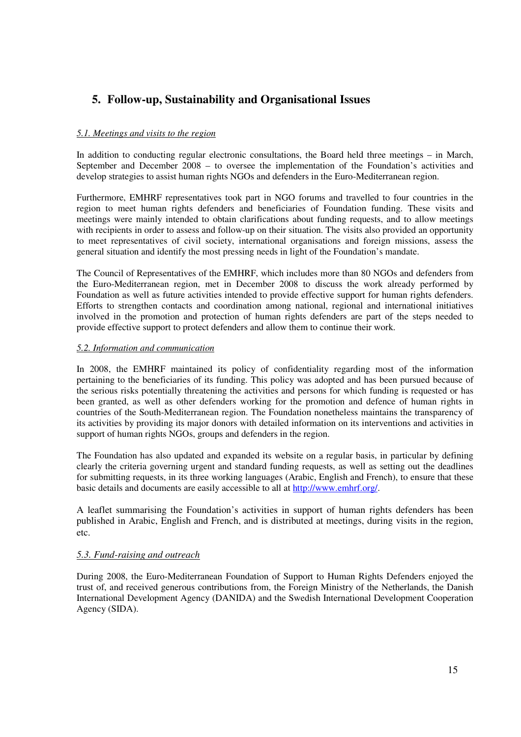# **5. Follow-up, Sustainability and Organisational Issues**

#### *5.1. Meetings and visits to the region*

In addition to conducting regular electronic consultations, the Board held three meetings – in March, September and December 2008 – to oversee the implementation of the Foundation's activities and develop strategies to assist human rights NGOs and defenders in the Euro-Mediterranean region.

Furthermore, EMHRF representatives took part in NGO forums and travelled to four countries in the region to meet human rights defenders and beneficiaries of Foundation funding. These visits and meetings were mainly intended to obtain clarifications about funding requests, and to allow meetings with recipients in order to assess and follow-up on their situation. The visits also provided an opportunity to meet representatives of civil society, international organisations and foreign missions, assess the general situation and identify the most pressing needs in light of the Foundation's mandate.

The Council of Representatives of the EMHRF, which includes more than 80 NGOs and defenders from the Euro-Mediterranean region, met in December 2008 to discuss the work already performed by Foundation as well as future activities intended to provide effective support for human rights defenders. Efforts to strengthen contacts and coordination among national, regional and international initiatives involved in the promotion and protection of human rights defenders are part of the steps needed to provide effective support to protect defenders and allow them to continue their work.

#### *5.2. Information and communication*

In 2008, the EMHRF maintained its policy of confidentiality regarding most of the information pertaining to the beneficiaries of its funding. This policy was adopted and has been pursued because of the serious risks potentially threatening the activities and persons for which funding is requested or has been granted, as well as other defenders working for the promotion and defence of human rights in countries of the South-Mediterranean region. The Foundation nonetheless maintains the transparency of its activities by providing its major donors with detailed information on its interventions and activities in support of human rights NGOs, groups and defenders in the region.

The Foundation has also updated and expanded its website on a regular basis, in particular by defining clearly the criteria governing urgent and standard funding requests, as well as setting out the deadlines for submitting requests, in its three working languages (Arabic, English and French), to ensure that these basic details and documents are easily accessible to all at http://www.emhrf.org/.

A leaflet summarising the Foundation's activities in support of human rights defenders has been published in Arabic, English and French, and is distributed at meetings, during visits in the region, etc.

#### *5.3. Fund-raising and outreach*

During 2008, the Euro-Mediterranean Foundation of Support to Human Rights Defenders enjoyed the trust of, and received generous contributions from, the Foreign Ministry of the Netherlands, the Danish International Development Agency (DANIDA) and the Swedish International Development Cooperation Agency (SIDA).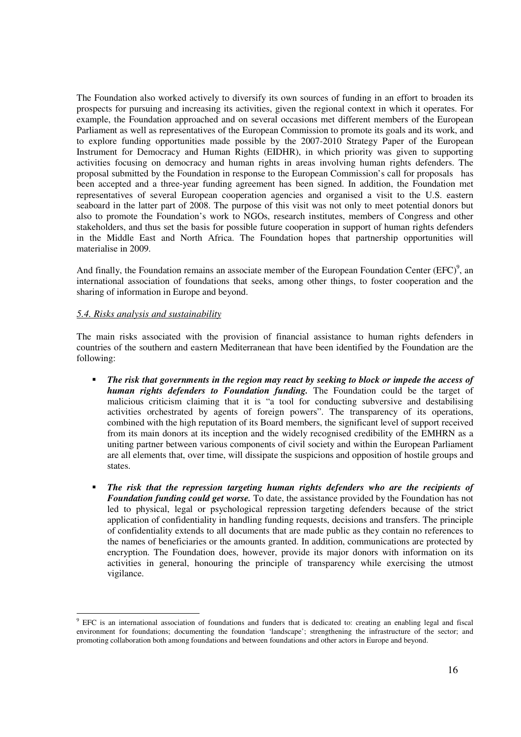The Foundation also worked actively to diversify its own sources of funding in an effort to broaden its prospects for pursuing and increasing its activities, given the regional context in which it operates. For example, the Foundation approached and on several occasions met different members of the European Parliament as well as representatives of the European Commission to promote its goals and its work, and to explore funding opportunities made possible by the 2007-2010 Strategy Paper of the European Instrument for Democracy and Human Rights (EIDHR), in which priority was given to supporting activities focusing on democracy and human rights in areas involving human rights defenders. The proposal submitted by the Foundation in response to the European Commission's call for proposals has been accepted and a three-year funding agreement has been signed. In addition, the Foundation met representatives of several European cooperation agencies and organised a visit to the U.S. eastern seaboard in the latter part of 2008. The purpose of this visit was not only to meet potential donors but also to promote the Foundation's work to NGOs, research institutes, members of Congress and other stakeholders, and thus set the basis for possible future cooperation in support of human rights defenders in the Middle East and North Africa. The Foundation hopes that partnership opportunities will materialise in 2009.

And finally, the Foundation remains an associate member of the European Foundation Center (EFC)<sup>9</sup>, an international association of foundations that seeks, among other things, to foster cooperation and the sharing of information in Europe and beyond.

#### *5.4. Risks analysis and sustainability*

The main risks associated with the provision of financial assistance to human rights defenders in countries of the southern and eastern Mediterranean that have been identified by the Foundation are the following:

- *The risk that governments in the region may react by seeking to block or impede the access of human rights defenders to Foundation funding.* The Foundation could be the target of malicious criticism claiming that it is "a tool for conducting subversive and destabilising activities orchestrated by agents of foreign powers". The transparency of its operations, combined with the high reputation of its Board members, the significant level of support received from its main donors at its inception and the widely recognised credibility of the EMHRN as a uniting partner between various components of civil society and within the European Parliament are all elements that, over time, will dissipate the suspicions and opposition of hostile groups and states.
- *The risk that the repression targeting human rights defenders who are the recipients of Foundation funding could get worse.* To date, the assistance provided by the Foundation has not led to physical, legal or psychological repression targeting defenders because of the strict application of confidentiality in handling funding requests, decisions and transfers. The principle of confidentiality extends to all documents that are made public as they contain no references to the names of beneficiaries or the amounts granted. In addition, communications are protected by encryption. The Foundation does, however, provide its major donors with information on its activities in general, honouring the principle of transparency while exercising the utmost vigilance.

<sup>&</sup>lt;sup>9</sup> EFC is an international association of foundations and funders that is dedicated to: creating an enabling legal and fiscal environment for foundations; documenting the foundation 'landscape'; strengthening the infrastructure of the sector; and promoting collaboration both among foundations and between foundations and other actors in Europe and beyond.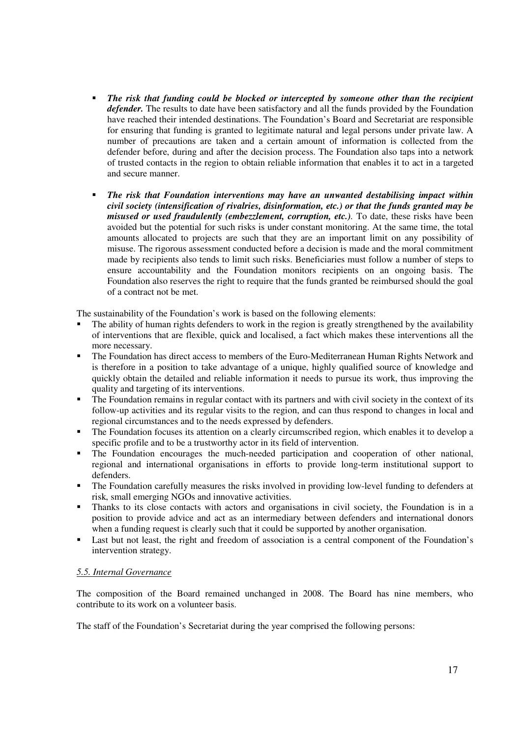- *The risk that funding could be blocked or intercepted by someone other than the recipient defender.* The results to date have been satisfactory and all the funds provided by the Foundation have reached their intended destinations. The Foundation's Board and Secretariat are responsible for ensuring that funding is granted to legitimate natural and legal persons under private law. A number of precautions are taken and a certain amount of information is collected from the defender before, during and after the decision process. The Foundation also taps into a network of trusted contacts in the region to obtain reliable information that enables it to act in a targeted and secure manner.
- *The risk that Foundation interventions may have an unwanted destabilising impact within civil society (intensification of rivalries, disinformation, etc.) or that the funds granted may be misused or used fraudulently (embezzlement, corruption, etc.)*. To date, these risks have been avoided but the potential for such risks is under constant monitoring. At the same time, the total amounts allocated to projects are such that they are an important limit on any possibility of misuse. The rigorous assessment conducted before a decision is made and the moral commitment made by recipients also tends to limit such risks. Beneficiaries must follow a number of steps to ensure accountability and the Foundation monitors recipients on an ongoing basis. The Foundation also reserves the right to require that the funds granted be reimbursed should the goal of a contract not be met.

The sustainability of the Foundation's work is based on the following elements:

- The ability of human rights defenders to work in the region is greatly strengthened by the availability of interventions that are flexible, quick and localised, a fact which makes these interventions all the more necessary.
- The Foundation has direct access to members of the Euro-Mediterranean Human Rights Network and is therefore in a position to take advantage of a unique, highly qualified source of knowledge and quickly obtain the detailed and reliable information it needs to pursue its work, thus improving the quality and targeting of its interventions.
- The Foundation remains in regular contact with its partners and with civil society in the context of its follow-up activities and its regular visits to the region, and can thus respond to changes in local and regional circumstances and to the needs expressed by defenders.
- The Foundation focuses its attention on a clearly circumscribed region, which enables it to develop a specific profile and to be a trustworthy actor in its field of intervention.
- The Foundation encourages the much-needed participation and cooperation of other national, regional and international organisations in efforts to provide long-term institutional support to defenders.
- The Foundation carefully measures the risks involved in providing low-level funding to defenders at risk, small emerging NGOs and innovative activities.
- Thanks to its close contacts with actors and organisations in civil society, the Foundation is in a position to provide advice and act as an intermediary between defenders and international donors when a funding request is clearly such that it could be supported by another organisation.
- Last but not least, the right and freedom of association is a central component of the Foundation's intervention strategy.

#### *5.5. Internal Governance*

The composition of the Board remained unchanged in 2008. The Board has nine members, who contribute to its work on a volunteer basis.

The staff of the Foundation's Secretariat during the year comprised the following persons: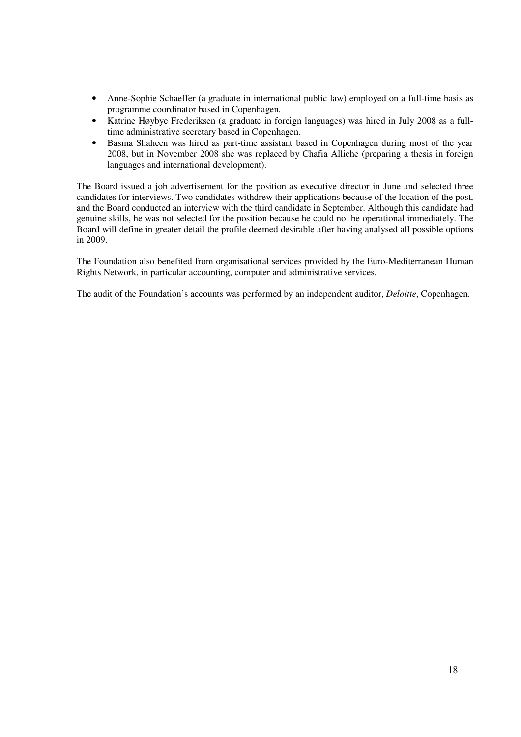- Anne-Sophie Schaeffer (a graduate in international public law) employed on a full-time basis as programme coordinator based in Copenhagen.
- Katrine Høybye Frederiksen (a graduate in foreign languages) was hired in July 2008 as a fulltime administrative secretary based in Copenhagen.
- Basma Shaheen was hired as part-time assistant based in Copenhagen during most of the year 2008, but in November 2008 she was replaced by Chafia Alliche (preparing a thesis in foreign languages and international development).

The Board issued a job advertisement for the position as executive director in June and selected three candidates for interviews. Two candidates withdrew their applications because of the location of the post, and the Board conducted an interview with the third candidate in September. Although this candidate had genuine skills, he was not selected for the position because he could not be operational immediately. The Board will define in greater detail the profile deemed desirable after having analysed all possible options in 2009.

The Foundation also benefited from organisational services provided by the Euro-Mediterranean Human Rights Network, in particular accounting, computer and administrative services.

The audit of the Foundation's accounts was performed by an independent auditor, *Deloitte*, Copenhagen.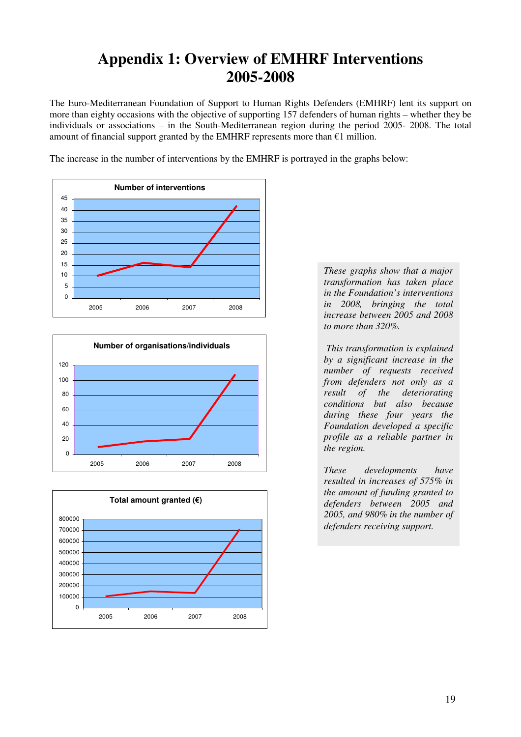# **Appendix 1: Overview of EMHRF Interventions 2005-2008**

The Euro-Mediterranean Foundation of Support to Human Rights Defenders (EMHRF) lent its support on more than eighty occasions with the objective of supporting 157 defenders of human rights – whether they be individuals or associations – in the South-Mediterranean region during the period 2005- 2008. The total amount of financial support granted by the EMHRF represents more than  $€1$  million.

The increase in the number of interventions by the EMHRF is portrayed in the graphs below:







*These graphs show that a major transformation has taken place in the Foundation's interventions in 2008, bringing the total increase between 2005 and 2008 to more than 320%.* 

 *This transformation is explained by a significant increase in the number of requests received from defenders not only as a result of the deteriorating conditions but also because during these four years the Foundation developed a specific profile as a reliable partner in the region.* 

*These developments have resulted in increases of 575% in the amount of funding granted to defenders between 2005 and 2005, and 980% in the number of defenders receiving support.*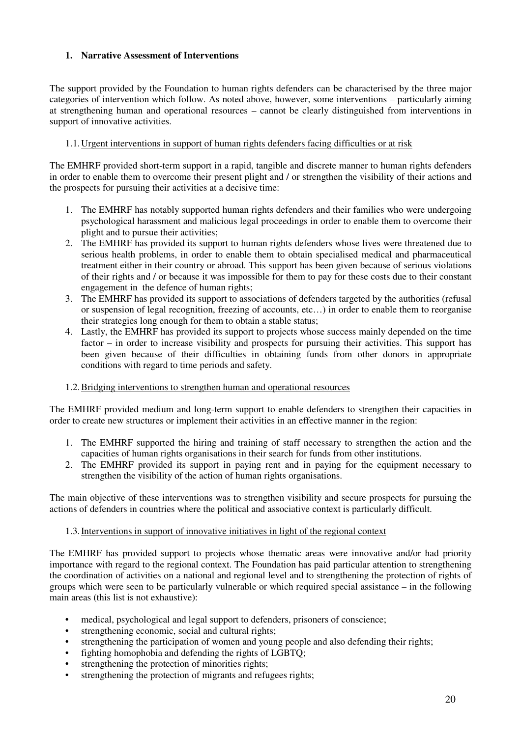## **1. Narrative Assessment of Interventions**

The support provided by the Foundation to human rights defenders can be characterised by the three major categories of intervention which follow. As noted above, however, some interventions – particularly aiming at strengthening human and operational resources – cannot be clearly distinguished from interventions in support of innovative activities.

## 1.1.Urgent interventions in support of human rights defenders facing difficulties or at risk

The EMHRF provided short-term support in a rapid, tangible and discrete manner to human rights defenders in order to enable them to overcome their present plight and / or strengthen the visibility of their actions and the prospects for pursuing their activities at a decisive time:

- 1. The EMHRF has notably supported human rights defenders and their families who were undergoing psychological harassment and malicious legal proceedings in order to enable them to overcome their plight and to pursue their activities;
- 2. The EMHRF has provided its support to human rights defenders whose lives were threatened due to serious health problems, in order to enable them to obtain specialised medical and pharmaceutical treatment either in their country or abroad. This support has been given because of serious violations of their rights and / or because it was impossible for them to pay for these costs due to their constant engagement in the defence of human rights;
- 3. The EMHRF has provided its support to associations of defenders targeted by the authorities (refusal or suspension of legal recognition, freezing of accounts, etc…) in order to enable them to reorganise their strategies long enough for them to obtain a stable status;
- 4. Lastly, the EMHRF has provided its support to projects whose success mainly depended on the time factor – in order to increase visibility and prospects for pursuing their activities. This support has been given because of their difficulties in obtaining funds from other donors in appropriate conditions with regard to time periods and safety.

## 1.2.Bridging interventions to strengthen human and operational resources

The EMHRF provided medium and long-term support to enable defenders to strengthen their capacities in order to create new structures or implement their activities in an effective manner in the region:

- 1. The EMHRF supported the hiring and training of staff necessary to strengthen the action and the capacities of human rights organisations in their search for funds from other institutions.
- 2. The EMHRF provided its support in paying rent and in paying for the equipment necessary to strengthen the visibility of the action of human rights organisations.

The main objective of these interventions was to strengthen visibility and secure prospects for pursuing the actions of defenders in countries where the political and associative context is particularly difficult.

## 1.3.Interventions in support of innovative initiatives in light of the regional context

The EMHRF has provided support to projects whose thematic areas were innovative and/or had priority importance with regard to the regional context. The Foundation has paid particular attention to strengthening the coordination of activities on a national and regional level and to strengthening the protection of rights of groups which were seen to be particularly vulnerable or which required special assistance – in the following main areas (this list is not exhaustive):

- medical, psychological and legal support to defenders, prisoners of conscience;
- strengthening economic, social and cultural rights;
- strengthening the participation of women and young people and also defending their rights;
- fighting homophobia and defending the rights of LGBTQ;
- strengthening the protection of minorities rights;
- strengthening the protection of migrants and refugees rights;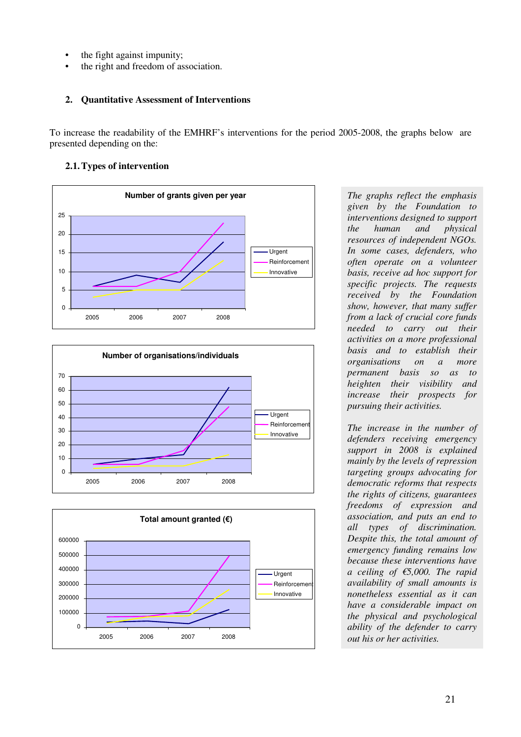- the fight against impunity;
- the right and freedom of association.

# **2. Quantitative Assessment of Interventions**

To increase the readability of the EMHRF's interventions for the period 2005-2008, the graphs below are presented depending on the:

# **2.1.Types of intervention**







*The graphs reflect the emphasis given by the Foundation to interventions designed to support the human and physical resources of independent NGOs. In some cases, defenders, who often operate on a volunteer basis, receive ad hoc support for specific projects. The requests received by the Foundation show, however, that many suffer from a lack of crucial core funds needed to carry out their activities on a more professional basis and to establish their organisations on a more permanent basis so as to heighten their visibility and increase their prospects for pursuing their activities.* 

*The increase in the number of defenders receiving emergency support in 2008 is explained mainly by the levels of repression targeting groups advocating for democratic reforms that respects the rights of citizens, guarantees freedoms of expression and association, and puts an end to all types of discrimination. Despite this, the total amount of emergency funding remains low because these interventions have a ceiling of €5,000. The rapid availability of small amounts is nonetheless essential as it can have a considerable impact on the physical and psychological ability of the defender to carry out his or her activities.*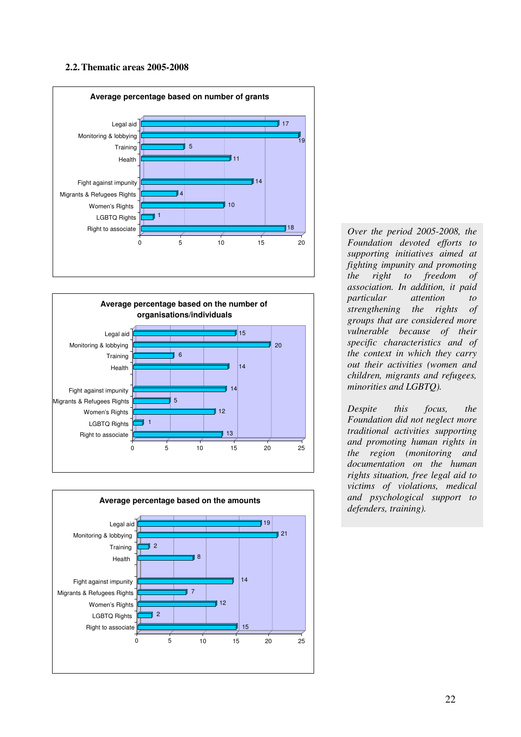#### **2.2.Thematic areas 2005-2008**







*Over the period 2005-2008, the Foundation devoted efforts to supporting initiatives aimed at fighting impunity and promoting the right to freedom of association. In addition, it paid particular attention to strengthening the rights of groups that are considered more vulnerable because of their specific characteristics and of the context in which they carry out their activities (women and children, migrants and refugees, minorities and LGBTQ).* 

*Despite this focus, the Foundation did not neglect more traditional activities supporting and promoting human rights in the region (monitoring and documentation on the human rights situation, free legal aid to victims of violations, medical and psychological support to defenders, training).*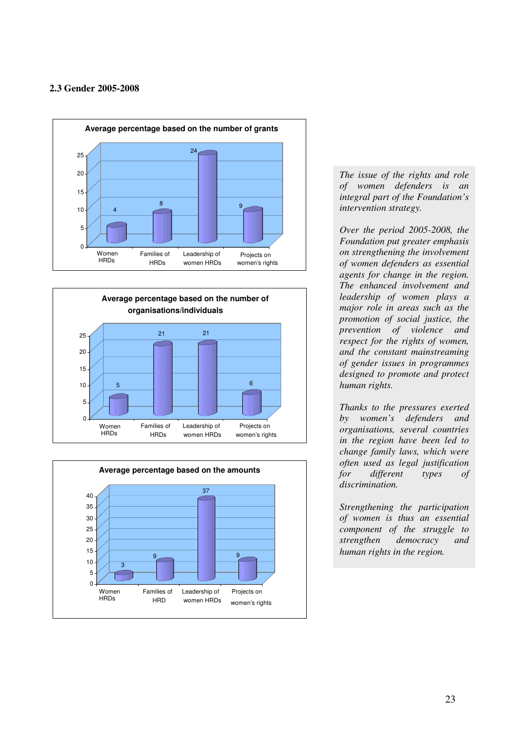### **2.3 Gender 2005-2008**







*The issue of the rights and role of women defenders is an integral part of the Foundation's intervention strategy.* 

*Over the period 2005-2008, the Foundation put greater emphasis on strengthening the involvement of women defenders as essential agents for change in the region. The enhanced involvement and leadership of women plays a major role in areas such as the promotion of social justice, the prevention of violence and respect for the rights of women, and the constant mainstreaming of gender issues in programmes designed to promote and protect human rights.* 

*Thanks to the pressures exerted by women's defenders and organisations, several countries in the region have been led to change family laws, which were often used as legal justification for different types of discrimination.* 

*Strengthening the participation of women is thus an essential component of the struggle to strengthen democracy and human rights in the region.*